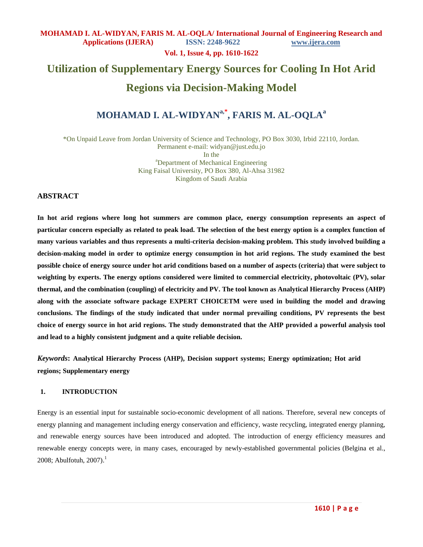**Vol. 1, Issue 4, pp. 1610-1622**

# **Utilization of Supplementary Energy Sources for Cooling In Hot Arid**

# **Regions via Decision-Making Model**

# **MOHAMAD I. AL-WIDYANa,\* , FARIS M. AL-OQLA<sup>a</sup>**

\*On Unpaid Leave from Jordan University of Science and Technology, PO Box 3030, Irbid 22110, Jordan. Permanent e-mail: widyan@just.edu.jo

In the <sup>a</sup>Department of Mechanical Engineering King Faisal University, PO Box 380, Al-Ahsa 31982 Kingdom of Saudi Arabia

#### **ABSTRACT**

**In hot arid regions where long hot summers are common place, energy consumption represents an aspect of particular concern especially as related to peak load. The selection of the best energy option is a complex function of many various variables and thus represents a multi-criteria decision-making problem. This study involved building a decision-making model in order to optimize energy consumption in hot arid regions. The study examined the best possible choice of energy source under hot arid conditions based on a number of aspects (criteria) that were subject to weighting by experts. The energy options considered were limited to commercial electricity, photovoltaic (PV), solar thermal, and the combination (coupling) of electricity and PV. The tool known as Analytical Hierarchy Process (AHP) along with the associate software package EXPERT CHOICETM were used in building the model and drawing conclusions. The findings of the study indicated that under normal prevailing conditions, PV represents the best choice of energy source in hot arid regions. The study demonstrated that the AHP provided a powerful analysis tool and lead to a highly consistent judgment and a quite reliable decision.** 

*Keywords***: Analytical Hierarchy Process (AHP), Decision support systems; Energy optimization; Hot arid regions; Supplementary energy**

#### **1. INTRODUCTION**

Energy is an essential input for sustainable socio-economic development of all nations. Therefore, several new concepts of energy planning and management including energy conservation and efficiency, waste recycling, integrated energy planning, and renewable energy sources have been introduced and adopted. The introduction of energy efficiency measures and renewable energy concepts were, in many cases, encouraged by newly-established governmental policies (Belgina et al.,  $2008$ ; Abulfotuh,  $2007$ ).<sup>1</sup>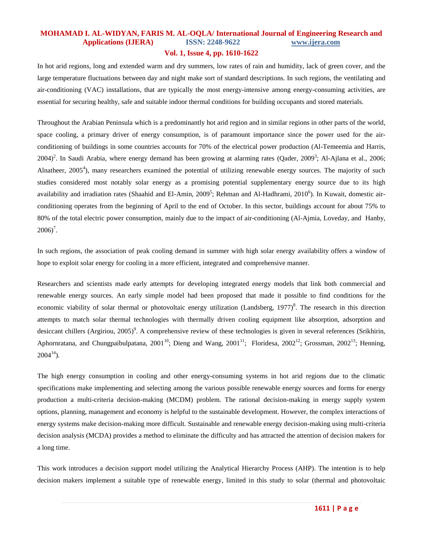#### **Vol. 1, Issue 4, pp. 1610-1622**

In hot arid regions, long and extended warm and dry summers, low rates of rain and humidity, lack of green cover, and the large temperature fluctuations between day and night make sort of standard descriptions. In such regions, the ventilating and air-conditioning (VAC) installations, that are typically the most energy-intensive among energy-consuming activities, are essential for securing healthy, safe and suitable indoor thermal conditions for building occupants and stored materials.

Throughout the Arabian Peninsula which is a predominantly hot arid region and in similar regions in other parts of the world, space cooling, a primary driver of energy consumption, is of paramount importance since the power used for the airconditioning of buildings in some countries accounts for 70% of the electrical power production (Al-Temeemia and Harris,  $2004)^2$ . In Saudi Arabia, where energy demand has been growing at alarming rates (Qader, 2009<sup>3</sup>; Al-Ajlana et al., 2006; Alnatheer,  $2005^4$ ), many researchers examined the potential of utilizing renewable energy sources. The majority of such studies considered most notably solar energy as a promising potential supplementary energy source due to its high availability and irradiation rates (Shaahid and El-Amin, 2009<sup>5</sup>; Rehman and Al-Hadhrami, 2010<sup>6</sup>). In Kuwait, domestic airconditioning operates from the beginning of April to the end of October. In this sector, buildings account for about 75% to 80% of the total electric power consumption, mainly due to the impact of air-conditioning [\(Al-Ajmia,](http://www.sciencedirect.com/science?_ob=RedirectURL&_method=outwardLink&_partnerName=27983&_origin=article&_zone=art_page&_linkType=scopusAuthorDocuments&_targetURL=http%3A%2F%2Fwww.scopus.com%2Fscopus%2Finward%2Fauthor.url%3FpartnerID%3D10%26rel%3D3.0.0%26sortField%3Dcited%26sortOrder%3Dasc%26author%3DAl-Ajmi,%2520F.%26authorID%3D8860437400%26md5%3D2db23d52847035dd47b57b1ea9b4bab6&_acct=C000052469&_version=1&_userid=3679165&md5=a2f319f41bc692afe6d2bbd20f6333c3) [Loveday,](http://www.sciencedirect.com/science?_ob=RedirectURL&_method=outwardLink&_partnerName=27983&_origin=article&_zone=art_page&_linkType=scopusAuthorDocuments&_targetURL=http%3A%2F%2Fwww.scopus.com%2Fscopus%2Finward%2Fauthor.url%3FpartnerID%3D10%26rel%3D3.0.0%26sortField%3Dcited%26sortOrder%3Dasc%26author%3DLoveday,%2520D.L.%26authorID%3D7007051032%26md5%3D74f64cac65c2362bfd776f8678928a29&_acct=C000052469&_version=1&_userid=3679165&md5=175068199068df7e61540359307a734d) and [Hanby,](http://www.sciencedirect.com/science?_ob=RedirectURL&_method=outwardLink&_partnerName=27983&_origin=article&_zone=art_page&_linkType=scopusAuthorDocuments&_targetURL=http%3A%2F%2Fwww.scopus.com%2Fscopus%2Finward%2Fauthor.url%3FpartnerID%3D10%26rel%3D3.0.0%26sortField%3Dcited%26sortOrder%3Dasc%26author%3DHanby,%2520V.I.%26authorID%3D8301657100%26md5%3Dd2a1a008dc71c5813191a5de667c24bd&_acct=C000052469&_version=1&_userid=3679165&md5=2bcbce50345e85aa8d8d256e5b604c56)  $2006$ <sup>7</sup>.

In such regions, the association of peak cooling demand in summer with high solar energy availability offers a window of hope to exploit solar energy for cooling in a more efficient, integrated and comprehensive manner.

Researchers and scientists made early attempts for developing integrated energy models that link both commercial and renewable energy sources. An early simple model had been proposed that made it possible to find conditions for the economic viability of solar thermal or photovoltaic energy utilization (Landsberg, 1977)<sup>8</sup>. The research in this direction attempts to match solar thermal technologies with thermally driven cooling equipment like absorption, adsorption and desiccant chillers (Argiriou, 2005)<sup>9</sup>. A comprehensive review of these technologies is given in several references (Srikhirin, Aphornratana, and Chungpaibulpatana, 2001<sup>10</sup>; Dieng and Wang, 2001<sup>11</sup>; [Floridesa,](http://www.sciencedirect.com/science?_ob=RedirectURL&_method=outwardLink&_partnerName=27983&_origin=article&_zone=art_page&_linkType=scopusAuthorDocuments&_targetURL=http%3A%2F%2Fwww.scopus.com%2Fscopus%2Finward%2Fauthor.url%3FpartnerID%3D10%26rel%3D3.0.0%26sortField%3Dcited%26sortOrder%3Dasc%26author%3DFlorides,%2520G.%2520A.%26authorID%3D6602575880%26md5%3D493b7765f5a34d351086f1ccadbb50fa&_acct=C000052469&_version=1&_userid=3679165&md5=1600e3b3f217a763e713bb5074553d21) 2002<sup>12</sup>; Grossman, 2002<sup>13</sup>; [Henning,](http://www.amazon.com/s/ref=ntt_athr_dp_sr_1?_encoding=UTF8&sort=relevancerank&search-alias=books&field-author=H.-M.%20Henning)  $2004^{14}$ ).

The high energy consumption in cooling and other energy-consuming systems in hot arid regions due to the climatic specifications make implementing and selecting among the various possible renewable energy sources and forms for energy production a multi-criteria decision-making (MCDM) problem. The rational decision-making in energy supply system options, planning, management and economy is helpful to the sustainable development. However, the complex interactions of energy systems make decision-making more difficult. Sustainable and renewable energy decision-making using multi-criteria decision analysis (MCDA) provides a method to eliminate the difficulty and has attracted the attention of decision makers for a long time.

This work introduces a decision support model utilizing the Analytical Hierarchy Process (AHP). The intention is to help decision makers implement a suitable type of renewable energy, limited in this study to solar (thermal and photovoltaic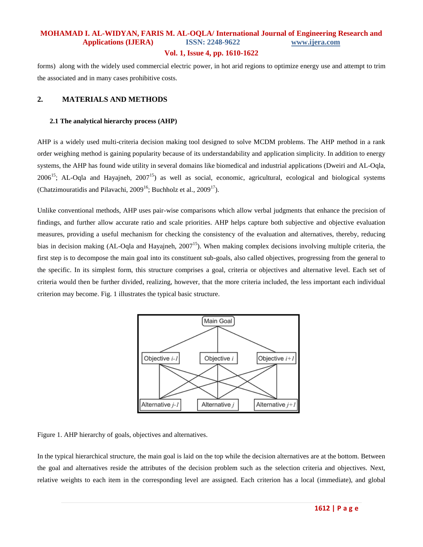#### **Vol. 1, Issue 4, pp. 1610-1622**

forms) along with the widely used commercial electric power, in hot arid regions to optimize energy use and attempt to trim the associated and in many cases prohibitive costs.

#### **2. MATERIALS AND METHODS**

#### **2.1 The analytical hierarchy process (AHP)**

AHP is a widely used multi-criteria decision making tool designed to solve MCDM problems. The AHP method in a rank order weighing method is gaining popularity because of its understandability and application simplicity. In addition to energy systems, the AHP has found wide utility in several domains like biomedical and industrial applications (Dweiri and AL-Oqla,  $2006^{15}$ ; AL-Oqla and Hayajneh,  $2007^{15}$ ) as well as social, economic, agricultural, ecological and biological systems (Chatzimouratidis and Pilavachi,  $2009^{16}$ ; Buchholz et al.,  $2009^{17}$ ).

Unlike conventional methods, AHP uses pair-wise comparisons which allow verbal judgments that enhance the precision of findings, and further allow accurate ratio and scale priorities. AHP helps capture both subjective and objective evaluation measures, providing a useful mechanism for checking the consistency of the evaluation and alternatives, thereby, reducing bias in decision making (AL-Oqla and Hayajneh,  $2007^{15}$ ). When making complex decisions involving multiple criteria, the first step is to decompose the main goal into its constituent sub-goals, also called objectives, progressing from the general to the specific. In its simplest form, this structure comprises a goal, criteria or objectives and alternative level. Each set of criteria would then be further divided, realizing, however, that the more criteria included, the less important each individual criterion may become. Fig. 1 illustrates the typical basic structure.



Figure 1. AHP hierarchy of goals, objectives and alternatives.

In the typical hierarchical structure, the main goal is laid on the top while the decision alternatives are at the bottom. Between the goal and alternatives reside the attributes of the decision problem such as the selection criteria and objectives. Next, relative weights to each item in the corresponding level are assigned. Each criterion has a local (immediate), and global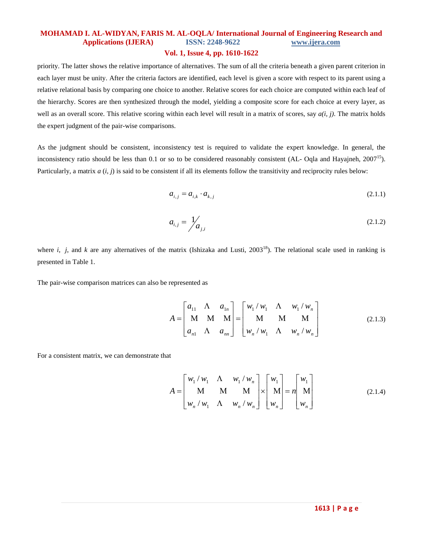#### **Vol. 1, Issue 4, pp. 1610-1622**

priority. The latter shows the relative importance of alternatives. The sum of all the criteria beneath a given parent criterion in each layer must be unity. After the criteria factors are identified, each level is given a score with respect to its parent using a relative relational basis by comparing one choice to another. Relative scores for each choice are computed within each leaf of the hierarchy. Scores are then synthesized through the model, yielding a composite score for each choice at every layer, as well as an overall score. This relative scoring within each level will result in a matrix of scores, say *a(i, j)*. The matrix holds the expert judgment of the pair-wise comparisons.

As the judgment should be consistent, inconsistency test is required to validate the expert knowledge. In general, the inconsistency ratio should be less than 0.1 or so to be considered reasonably consistent (AL- Oqla and Hayajneh,  $2007^{15}$ ). Particularly, a matrix *a* (*i*, *j*) is said to be consistent if all its elements follow the transitivity and reciprocity rules below:

$$
a_{i,j} = a_{i,k} \cdot a_{k,j} \tag{2.1.1}
$$

$$
a_{i,j} = \frac{1}{a_{j,i}} \tag{2.1.2}
$$

where *i*, *j*, and *k* are any alternatives of the matrix (Ishizaka and Lusti,  $2003^{18}$ ). The relational scale used in ranking is presented in Table 1.

The pair-wise comparison matrices can also be represented as

$$
A = \begin{bmatrix} a_{11} & \Lambda & a_{1n} \\ M & M & M \\ a_{n1} & \Lambda & a_{nn} \end{bmatrix} = \begin{bmatrix} w_1 / w_1 & \Lambda & w_1 / w_n \\ M & M & M \\ w_n / w_1 & \Lambda & w_n / w_n \end{bmatrix} \tag{2.1.3}
$$

For a consistent matrix, we can demonstrate that

$$
A = \begin{bmatrix} w_1 / w_1 & \Lambda & w_1 / w_n \\ M & M & M \\ w_n / w_1 & \Lambda & w_n / w_n \end{bmatrix} \times \begin{bmatrix} w_1 \\ M \\ w_n \end{bmatrix} = n \begin{bmatrix} w_1 \\ M \\ w_n \end{bmatrix}
$$
 (2.1.4)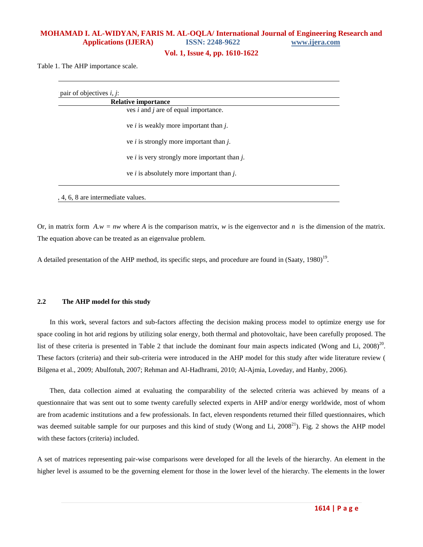**Vol. 1, Issue 4, pp. 1610-1622**

Table 1. The AHP importance scale.

| <b>Relative importance</b>                        |
|---------------------------------------------------|
| ves $i$ and $j$ are of equal importance.          |
| ve <i>i</i> is weakly more important than $j$ .   |
| ve <i>i</i> is strongly more important than $j$ . |
| ve $i$ is very strongly more important than $j$ . |
| ve $i$ is absolutely more important than $j$ .    |
|                                                   |

Or, in matrix form  $A.w = nw$  where  $A$  is the comparison matrix,  $w$  is the eigenvector and  $n$  is the dimension of the matrix. The equation above can be treated as an eigenvalue problem.

A detailed presentation of the AHP method, its specific steps, and procedure are found in (Saaty, 1980)<sup>19</sup>.

#### **2.2 The AHP model for this study**

In this work, several factors and sub-factors affecting the decision making process model to optimize energy use for space cooling in hot arid regions by utilizing solar energy, both thermal and photovoltaic, have been carefully proposed. The list of these criteria is presented in Table 2 that include the dominant four main aspects indicated (Wong and Li,  $2008)^{20}$ . These factors (criteria) and their sub-criteria were introduced in the AHP model for this study after wide literature review [\(](http://www.sciencedirect.com/science?_ob=RedirectURL&_method=outwardLink&_partnerName=27983&_origin=article&_zone=art_page&_linkType=scopusAuthorDocuments&_targetURL=http%3A%2F%2Fwww.scopus.com%2Fscopus%2Finward%2Fauthor.url%3FpartnerID%3D10%26rel%3D3.0.0%26sortField%3Dcited%26sortOrder%3Dasc%26author%3DBilgen,%2520Selcuk%26authorID%3D6701741541%26md5%3Ded476c4bfc8c3adf4a2bf401ebe72637&_acct=C000052469&_version=1&_userid=3679165&md5=c02d0a1ebd17cec7b62c2ce5182747d1) [Bilgena](http://www.sciencedirect.com/science?_ob=RedirectURL&_method=outwardLink&_partnerName=27983&_origin=article&_zone=art_page&_linkType=scopusAuthorDocuments&_targetURL=http%3A%2F%2Fwww.scopus.com%2Fscopus%2Finward%2Fauthor.url%3FpartnerID%3D10%26rel%3D3.0.0%26sortField%3Dcited%26sortOrder%3Dasc%26author%3DBilgen,%2520Selcuk%26authorID%3D6701741541%26md5%3Ded476c4bfc8c3adf4a2bf401ebe72637&_acct=C000052469&_version=1&_userid=3679165&md5=c02d0a1ebd17cec7b62c2ce5182747d1) et al., 2009; Abulfotuh, 2007; Rehman and Al-Hadhrami, 2010; [Al-Ajmia,](http://www.sciencedirect.com/science?_ob=RedirectURL&_method=outwardLink&_partnerName=27983&_origin=article&_zone=art_page&_linkType=scopusAuthorDocuments&_targetURL=http%3A%2F%2Fwww.scopus.com%2Fscopus%2Finward%2Fauthor.url%3FpartnerID%3D10%26rel%3D3.0.0%26sortField%3Dcited%26sortOrder%3Dasc%26author%3DAl-Ajmi,%2520F.%26authorID%3D8860437400%26md5%3D2db23d52847035dd47b57b1ea9b4bab6&_acct=C000052469&_version=1&_userid=3679165&md5=a2f319f41bc692afe6d2bbd20f6333c3) [Loveday,](http://www.sciencedirect.com/science?_ob=RedirectURL&_method=outwardLink&_partnerName=27983&_origin=article&_zone=art_page&_linkType=scopusAuthorDocuments&_targetURL=http%3A%2F%2Fwww.scopus.com%2Fscopus%2Finward%2Fauthor.url%3FpartnerID%3D10%26rel%3D3.0.0%26sortField%3Dcited%26sortOrder%3Dasc%26author%3DLoveday,%2520D.L.%26authorID%3D7007051032%26md5%3D74f64cac65c2362bfd776f8678928a29&_acct=C000052469&_version=1&_userid=3679165&md5=175068199068df7e61540359307a734d) and [Hanby,](http://www.sciencedirect.com/science?_ob=RedirectURL&_method=outwardLink&_partnerName=27983&_origin=article&_zone=art_page&_linkType=scopusAuthorDocuments&_targetURL=http%3A%2F%2Fwww.scopus.com%2Fscopus%2Finward%2Fauthor.url%3FpartnerID%3D10%26rel%3D3.0.0%26sortField%3Dcited%26sortOrder%3Dasc%26author%3DHanby,%2520V.I.%26authorID%3D8301657100%26md5%3Dd2a1a008dc71c5813191a5de667c24bd&_acct=C000052469&_version=1&_userid=3679165&md5=2bcbce50345e85aa8d8d256e5b604c56) 2006).

Then, data collection aimed at evaluating the comparability of the selected criteria was achieved by means of a questionnaire that was sent out to some twenty carefully selected experts in AHP and/or energy worldwide, most of whom are from academic institutions and a few professionals. In fact, eleven respondents returned their filled questionnaires, which was deemed suitable sample for our purposes and this kind of study (Wong and Li,  $2008^{21}$ ). Fig. 2 shows the AHP model with these factors (criteria) included.

A set of matrices representing pair-wise comparisons were developed for all the levels of the hierarchy. An element in the higher level is assumed to be the governing element for those in the lower level of the hierarchy. The elements in the lower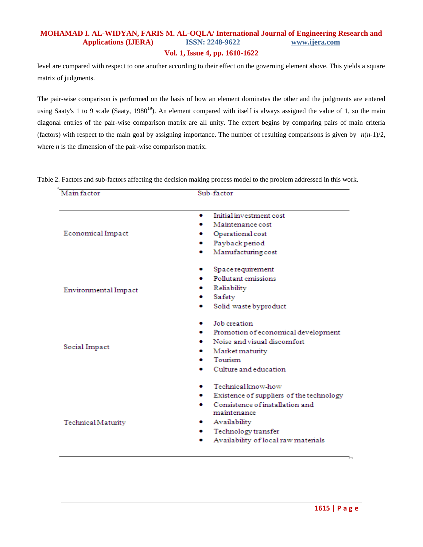#### **Vol. 1, Issue 4, pp. 1610-1622**

level are compared with respect to one another according to their effect on the governing element above. This yields a square matrix of judgments.

The pair-wise comparison is performed on the basis of how an element dominates the other and the judgments are entered using Saaty's 1 to 9 scale (Saaty,  $1980^{19}$ ). An element compared with itself is always assigned the value of 1, so the main diagonal entries of the pair-wise comparison matrix are all unity. The expert begins by comparing pairs of main criteria (factors) with respect to the main goal by assigning importance. The number of resulting comparisons is given by  $n(n-1)/2$ , where *n* is the dimension of the pair-wise comparison matrix.

| Main factor          | Sub-factor                                      |  |  |  |
|----------------------|-------------------------------------------------|--|--|--|
|                      |                                                 |  |  |  |
|                      | Initial investment cost<br>۰                    |  |  |  |
|                      | Maintenance cost                                |  |  |  |
| Economical Impact    | Operational cost                                |  |  |  |
|                      | Payback period<br>. .                           |  |  |  |
|                      | Manufacturing cost<br>۰                         |  |  |  |
|                      | Space requirement<br>۰                          |  |  |  |
|                      | Pollutant emissions                             |  |  |  |
| Environmental Impact | Reliability                                     |  |  |  |
|                      | Safety<br>۰                                     |  |  |  |
|                      | Solid waste byproduct<br>۰                      |  |  |  |
|                      | Job creation                                    |  |  |  |
|                      | Promotion of economical development<br>. .      |  |  |  |
|                      | Noise and visual discomfort                     |  |  |  |
| Social Impact        | $\bullet$ Market maturity                       |  |  |  |
|                      | Tourism                                         |  |  |  |
|                      | Culture and education<br>۰                      |  |  |  |
|                      | Technical know-how<br>۰                         |  |  |  |
|                      | Existence of suppliers of the technology<br>. . |  |  |  |
|                      | Consistence of installation and<br>۰            |  |  |  |
|                      | maintenance                                     |  |  |  |
| Technical Maturity   | Availability<br>. .                             |  |  |  |
|                      | Technology transfer<br>. .                      |  |  |  |
|                      | Availability of local raw materials<br>۰        |  |  |  |

Table 2. Factors and sub-factors affecting the decision making process model to the problem addressed in this work.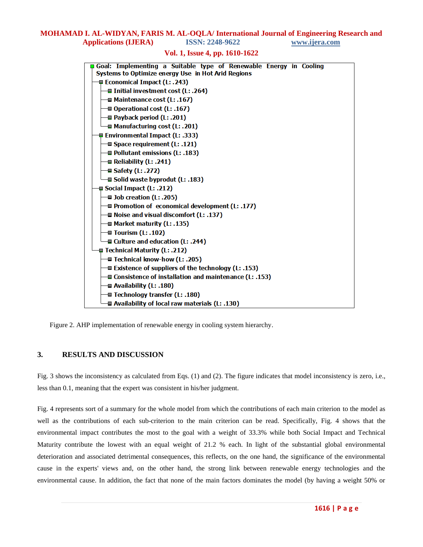#### **Vol. 1, Issue 4, pp. 1610-1622**

| Goal: Implementing a Suitable type of Renewable Energy in Cooling |  |  |  |  |  |  |
|-------------------------------------------------------------------|--|--|--|--|--|--|
| Systems to Optimize energy Use in Hot Arid Regions                |  |  |  |  |  |  |
| <b>■ Economical Impact (L: .243)</b>                              |  |  |  |  |  |  |
| $\blacksquare$ Initial investment cost (L: .264)                  |  |  |  |  |  |  |
| — <b>■ Maintenance cost (L: .167)</b>                             |  |  |  |  |  |  |
| $\Box$ Operational cost (L: .167)                                 |  |  |  |  |  |  |
| $\equiv$ Payback period (L: .201)                                 |  |  |  |  |  |  |
| ⊣∎ Manufacturing cost (L: .201)                                   |  |  |  |  |  |  |
| <b>E</b> Environmental Impact (L: .333)                           |  |  |  |  |  |  |
| → Space requirement (L: .121)                                     |  |  |  |  |  |  |
| —⊒ Pollutant emissions (L: .183)                                  |  |  |  |  |  |  |
| $\equiv$ Reliability (L: .241)                                    |  |  |  |  |  |  |
| — Safety (L: .272)                                                |  |  |  |  |  |  |
| - <b>■ Solid waste byprodut (L: .183)</b>                         |  |  |  |  |  |  |
| $\blacksquare$ Social Impact (L: .212)                            |  |  |  |  |  |  |
| → Job creation (L: .205)                                          |  |  |  |  |  |  |
| $\equiv$ Promotion of economical development (L: .177)            |  |  |  |  |  |  |
| —≣ Noise and visual discomfort (L: .137)                          |  |  |  |  |  |  |
| ⊣∎ Market maturity (L: .135)                                      |  |  |  |  |  |  |
| $\blacksquare$ Tourism (L: .102)                                  |  |  |  |  |  |  |
| <b>■ Culture and education (L: .244)</b>                          |  |  |  |  |  |  |
| <b>□ Technical Maturity (L: .212)</b>                             |  |  |  |  |  |  |
| — Technical know-how (L: .205)                                    |  |  |  |  |  |  |
| $\equiv$ Existence of suppliers of the technology (L: .153)       |  |  |  |  |  |  |
| → Consistence of installation and maintenance (L: .153)           |  |  |  |  |  |  |
| $\equiv$ Availability (L: .180)                                   |  |  |  |  |  |  |
| $\equiv$ Technology transfer (L: .180)                            |  |  |  |  |  |  |
| → Availability of local raw materials (L: .130)                   |  |  |  |  |  |  |
|                                                                   |  |  |  |  |  |  |

Figure 2. AHP implementation of renewable energy in cooling system hierarchy.

#### **3. RESULTS AND DISCUSSION**

Fig. 3 shows the inconsistency as calculated from Eqs. (1) and (2). The figure indicates that model inconsistency is zero, i.e., less than 0.1, meaning that the expert was consistent in his/her judgment.

Fig. 4 represents sort of a summary for the whole model from which the contributions of each main criterion to the model as well as the contributions of each sub-criterion to the main criterion can be read. Specifically, Fig. 4 shows that the environmental impact contributes the most to the goal with a weight of 33.3% while both Social Impact and Technical Maturity contribute the lowest with an equal weight of 21.2 % each. In light of the substantial global environmental deterioration and associated detrimental consequences, this reflects, on the one hand, the significance of the environmental cause in the experts' views and, on the other hand, the strong link between renewable energy technologies and the environmental cause. In addition, the fact that none of the main factors dominates the model (by having a weight 50% or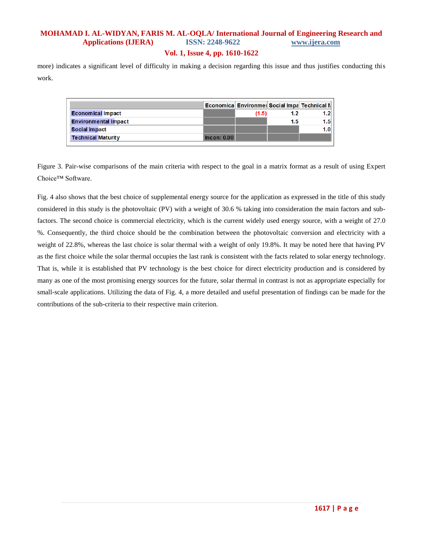#### **Vol. 1, Issue 4, pp. 1610-1622**

more) indicates a significant level of difficulty in making a decision regarding this issue and thus justifies conducting this work.

|                             |             |       | <b>Economica Environmer Social Impa Technical M</b> |     |
|-----------------------------|-------------|-------|-----------------------------------------------------|-----|
| <b>Economical Impact</b>    |             | (1.5) | 1.2                                                 | 1.2 |
| <b>Environmental Impact</b> |             |       | 1.5                                                 | 1.5 |
| <b>Social Impact</b>        |             |       |                                                     | 1.0 |
| <b>Technical Maturity</b>   | Incon: 0.00 |       |                                                     |     |

Figure 3. Pair-wise comparisons of the main criteria with respect to the goal in a matrix format as a result of using Expert Choice™ Software.

Fig. 4 also shows that the best choice of supplemental energy source for the application as expressed in the title of this study considered in this study is the photovoltaic (PV) with a weight of 30.6 % taking into consideration the main factors and subfactors. The second choice is commercial electricity, which is the current widely used energy source, with a weight of 27.0 %. Consequently, the third choice should be the combination between the photovoltaic conversion and electricity with a weight of 22.8%, whereas the last choice is solar thermal with a weight of only 19.8%. It may be noted here that having PV as the first choice while the solar thermal occupies the last rank is consistent with the facts related to solar energy technology. That is, while it is established that PV technology is the best choice for direct electricity production and is considered by many as one of the most promising energy sources for the future, solar thermal in contrast is not as appropriate especially for small-scale applications. Utilizing the data of Fig. 4, a more detailed and useful presentation of findings can be made for the contributions of the sub-criteria to their respective main criterion.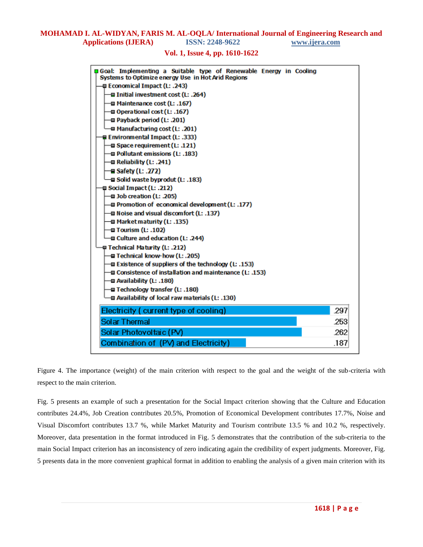#### **Vol. 1, Issue 4, pp. 1610-1622**



Figure 4. The importance (weight) of the main criterion with respect to the goal and the weight of the sub-criteria with respect to the main criterion.

Fig. 5 presents an example of such a presentation for the Social Impact criterion showing that the Culture and Education contributes 24.4%, Job Creation contributes 20.5%, Promotion of Economical Development contributes 17.7%, Noise and Visual Discomfort contributes 13.7 %, while Market Maturity and Tourism contribute 13.5 % and 10.2 %, respectively. Moreover, data presentation in the format introduced in Fig. 5 demonstrates that the contribution of the sub-criteria to the main Social Impact criterion has an inconsistency of zero indicating again the credibility of expert judgments. Moreover, Fig. 5 presents data in the more convenient graphical format in addition to enabling the analysis of a given main criterion with its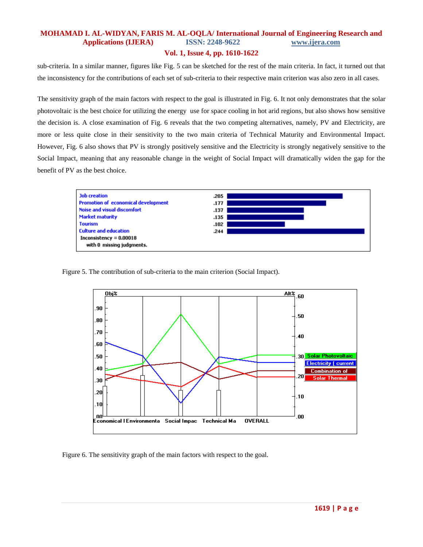#### **Vol. 1, Issue 4, pp. 1610-1622**

sub-criteria. In a similar manner, figures like Fig. 5 can be sketched for the rest of the main criteria. In fact, it turned out that the inconsistency for the contributions of each set of sub-criteria to their respective main criterion was also zero in all cases.

The sensitivity graph of the main factors with respect to the goal is illustrated in Fig. 6. It not only demonstrates that the solar photovoltaic is the best choice for utilizing the energy use for space cooling in hot arid regions, but also shows how sensitive the decision is. A close examination of Fig. 6 reveals that the two competing alternatives, namely, PV and Electricity, are more or less quite close in their sensitivity to the two main criteria of Technical Maturity and Environmental Impact. However, Fig. 6 also shows that PV is strongly positively sensitive and the Electricity is strongly negatively sensitive to the Social Impact, meaning that any reasonable change in the weight of Social Impact will dramatically widen the gap for the benefit of PV as the best choice.



Figure 5. The contribution of sub-criteria to the main criterion (Social Impact).



Figure 6. The sensitivity graph of the main factors with respect to the goal.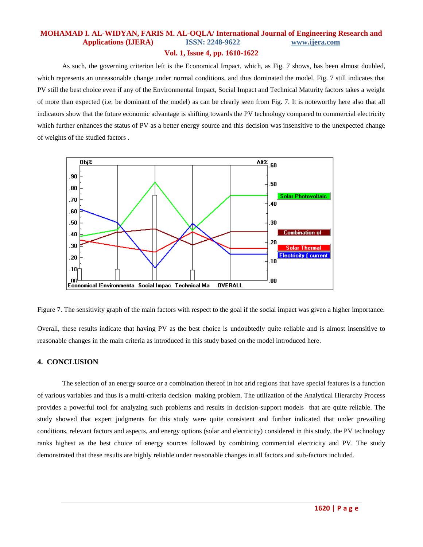#### **Vol. 1, Issue 4, pp. 1610-1622**

As such, the governing criterion left is the Economical Impact, which, as Fig. 7 shows, has been almost doubled, which represents an unreasonable change under normal conditions, and thus dominated the model. Fig. 7 still indicates that PV still the best choice even if any of the Environmental Impact, Social Impact and Technical Maturity factors takes a weight of more than expected (i.e; be dominant of the model) as can be clearly seen from Fig. 7. It is noteworthy here also that all indicators show that the future economic advantage is shifting towards the PV technology compared to commercial electricity which further enhances the status of PV as a better energy source and this decision was insensitive to the unexpected change of weights of the studied factors .



Figure 7. The sensitivity graph of the main factors with respect to the goal if the social impact was given a higher importance.

Overall, these results indicate that having PV as the best choice is undoubtedly quite reliable and is almost insensitive to reasonable changes in the main criteria as introduced in this study based on the model introduced here.

### **4. CONCLUSION**

The selection of an energy source or a combination thereof in hot arid regions that have special features is a function of various variables and thus is a multi-criteria decision making problem. The utilization of the Analytical Hierarchy Process provides a powerful tool for analyzing such problems and results in decision-support models that are quite reliable. The study showed that expert judgments for this study were quite consistent and further indicated that under prevailing conditions, relevant factors and aspects, and energy options (solar and electricity) considered in this study, the PV technology ranks highest as the best choice of energy sources followed by combining commercial electricity and PV. The study demonstrated that these results are highly reliable under reasonable changes in all factors and sub-factors included.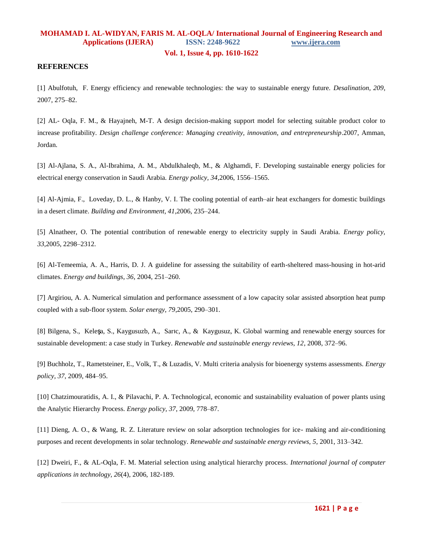#### **Vol. 1, Issue 4, pp. 1610-1622**

#### **REFERENCES**

[1] Abulfotuh, F. Energy efficiency and renewable technologies: the way to sustainable energy future. *Desalination, 209*, 2007, 275–82.

[2] AL- Oqla, F. M., & Hayajneh, M-T. A design decision-making support model for selecting suitable product color to increase profitability. *Design challenge conference: Managing creativity, innovation, and entrepreneurship*.2007, Amman, Jordan.

[3] Al-Ajlana, S. A., Al-Ibrahima, A. M., Abdulkhaleqb, M., & Alghamdi, F. Developing sustainable energy policies for electrical energy conservation in Saudi Arabia. *Energy policy, 34*,2006, 1556–1565.

[4] [Al-Ajmia,](http://www.sciencedirect.com/science?_ob=RedirectURL&_method=outwardLink&_partnerName=27983&_origin=article&_zone=art_page&_linkType=scopusAuthorDocuments&_targetURL=http%3A%2F%2Fwww.scopus.com%2Fscopus%2Finward%2Fauthor.url%3FpartnerID%3D10%26rel%3D3.0.0%26sortField%3Dcited%26sortOrder%3Dasc%26author%3DAl-Ajmi,%2520F.%26authorID%3D8860437400%26md5%3D2db23d52847035dd47b57b1ea9b4bab6&_acct=C000052469&_version=1&_userid=3679165&md5=a2f319f41bc692afe6d2bbd20f6333c3) F., [Loveday,](http://www.sciencedirect.com/science?_ob=RedirectURL&_method=outwardLink&_partnerName=27983&_origin=article&_zone=art_page&_linkType=scopusAuthorDocuments&_targetURL=http%3A%2F%2Fwww.scopus.com%2Fscopus%2Finward%2Fauthor.url%3FpartnerID%3D10%26rel%3D3.0.0%26sortField%3Dcited%26sortOrder%3Dasc%26author%3DLoveday,%2520D.L.%26authorID%3D7007051032%26md5%3D74f64cac65c2362bfd776f8678928a29&_acct=C000052469&_version=1&_userid=3679165&md5=175068199068df7e61540359307a734d) D. L., [& Hanby,](http://www.sciencedirect.com/science?_ob=RedirectURL&_method=outwardLink&_partnerName=27983&_origin=article&_zone=art_page&_linkType=scopusAuthorDocuments&_targetURL=http%3A%2F%2Fwww.scopus.com%2Fscopus%2Finward%2Fauthor.url%3FpartnerID%3D10%26rel%3D3.0.0%26sortField%3Dcited%26sortOrder%3Dasc%26author%3DHanby,%2520V.I.%26authorID%3D8301657100%26md5%3Dd2a1a008dc71c5813191a5de667c24bd&_acct=C000052469&_version=1&_userid=3679165&md5=2bcbce50345e85aa8d8d256e5b604c56) V. I. The cooling potential of earth–air heat exchangers for domestic buildings in a desert climate. *Building and Environment, 41*,2006, 235–244.

[5] Alnatheer, O. The potential contribution of renewable energy to electricity supply in Saudi Arabia. *Energy policy, 33*,2005, 2298–2312.

[6] Al-Temeemia, A. A., Harris, D. J. A guideline for assessing the suitability of earth-sheltered mass-housing in hot-arid climates. *Energy and buildings, 36*, 2004, 251–260.

[7] Argiriou, A. A. Numerical simulation and performance assessment of a low capacity solar assisted absorption heat pump coupled with a sub-floor system. *Solar energy, 79*,2005, 290–301.

[8] [Bilgena,](http://www.sciencedirect.com/science?_ob=RedirectURL&_method=outwardLink&_partnerName=27983&_origin=article&_zone=art_page&_linkType=scopusAuthorDocuments&_targetURL=http%3A%2F%2Fwww.scopus.com%2Fscopus%2Finward%2Fauthor.url%3FpartnerID%3D10%26rel%3D3.0.0%26sortField%3Dcited%26sortOrder%3Dasc%26author%3DBilgen,%2520Selcuk%26authorID%3D6701741541%26md5%3Ded476c4bfc8c3adf4a2bf401ebe72637&_acct=C000052469&_version=1&_userid=3679165&md5=c02d0a1ebd17cec7b62c2ce5182747d1) S., [Kele](http://www.sciencedirect.com/science?_ob=RedirectURL&_method=outwardLink&_partnerName=27983&_origin=article&_zone=art_page&_linkType=scopusAuthorDocuments&_targetURL=http%3A%2F%2Fwww.scopus.com%2Fscopus%2Finward%2Fauthor.url%3FpartnerID%3D10%26rel%3D3.0.0%26sortField%3Dcited%26sortOrder%3Dasc%26author%3DKeles,%2520Sedat%26authorID%3D17344119800%26md5%3Daa8a3fc7d521ad916222b2e61df07d25&_acct=C000052469&_version=1&_userid=3679165&md5=75d0865f7b032a0c4f7f759a42dfc883)ş[a,](http://www.sciencedirect.com/science?_ob=RedirectURL&_method=outwardLink&_partnerName=27983&_origin=article&_zone=art_page&_linkType=scopusAuthorDocuments&_targetURL=http%3A%2F%2Fwww.scopus.com%2Fscopus%2Finward%2Fauthor.url%3FpartnerID%3D10%26rel%3D3.0.0%26sortField%3Dcited%26sortOrder%3Dasc%26author%3DKeles,%2520Sedat%26authorID%3D17344119800%26md5%3Daa8a3fc7d521ad916222b2e61df07d25&_acct=C000052469&_version=1&_userid=3679165&md5=75d0865f7b032a0c4f7f759a42dfc883) S., [Kaygusuzb,](http://www.sciencedirect.com/science?_ob=RedirectURL&_method=outwardLink&_partnerName=27983&_origin=article&_zone=art_page&_linkType=scopusAuthorDocuments&_targetURL=http%3A%2F%2Fwww.scopus.com%2Fscopus%2Finward%2Fauthor.url%3FpartnerID%3D10%26rel%3D3.0.0%26sortField%3Dcited%26sortOrder%3Dasc%26author%3DKaygusuz,%2520Abdullah%26authorID%3D6701580075%26md5%3Ddde05ba24664b4b4019ab2317d3c07ea&_acct=C000052469&_version=1&_userid=3679165&md5=09899576ac6c6cf67656e9af9067bf5d) A., [Sar](http://www.sciencedirect.com/science?_ob=RedirectURL&_method=outwardLink&_partnerName=27983&_origin=article&_zone=art_page&_linkType=scopusAuthorDocuments&_targetURL=http%3A%2F%2Fwww.scopus.com%2Fscopus%2Finward%2Fauthor.url%3FpartnerID%3D10%26rel%3D3.0.0%26sortField%3Dcited%26sortOrder%3Dasc%26author%3DSari,%2520Ahmet%26authorID%3D7006342950%26md5%3De6daa9413b2368bbacc7666addb055a7&_acct=C000052469&_version=1&_userid=3679165&md5=31af3a14b088c9e1c63552d2308cd606)ı[c,](http://www.sciencedirect.com/science?_ob=RedirectURL&_method=outwardLink&_partnerName=27983&_origin=article&_zone=art_page&_linkType=scopusAuthorDocuments&_targetURL=http%3A%2F%2Fwww.scopus.com%2Fscopus%2Finward%2Fauthor.url%3FpartnerID%3D10%26rel%3D3.0.0%26sortField%3Dcited%26sortOrder%3Dasc%26author%3DSari,%2520Ahmet%26authorID%3D7006342950%26md5%3De6daa9413b2368bbacc7666addb055a7&_acct=C000052469&_version=1&_userid=3679165&md5=31af3a14b088c9e1c63552d2308cd606) A., & [Kaygusuz,](http://www.sciencedirect.com/science?_ob=RedirectURL&_method=outwardLink&_partnerName=27983&_origin=article&_zone=art_page&_linkType=scopusAuthorDocuments&_targetURL=http%3A%2F%2Fwww.scopus.com%2Fscopus%2Finward%2Fauthor.url%3FpartnerID%3D10%26rel%3D3.0.0%26sortField%3Dcited%26sortOrder%3Dasc%26author%3DKaygusuz,%2520Kamil%26authorID%3D24474609300%26md5%3D5fb46d3a462fba1e430ad025289ed052&_acct=C000052469&_version=1&_userid=3679165&md5=5aac6064b6a875a529f422f229d9d177) K. Global warming and renewable energy sources for sustainable development: a case study in Turkey. *Renewable and sustainable energy reviews, 12*, 2008, 372–96.

[9] Buchholz, T., Rametsteiner, E., Volk, T., & Luzadis, V. Multi criteria analysis for bioenergy systems assessments. *Energy policy, 37*, 2009, 484–95.

[10] Chatzimouratidis, A. I., & Pilavachi, P. A. Technological, economic and sustainability evaluation of power plants using the Analytic Hierarchy Process. *Energy policy, 37*, 2009, 778–87.

[11] Dieng, A. O., & Wang, R. Z. Literature review on solar adsorption technologies for ice- making and air-conditioning purposes and recent developments in solar technology. *Renewable and sustainable energy reviews, 5*, 2001, 313–342.

[12] Dweiri, F., & AL-Oqla, F. M. Material selection using analytical hierarchy process. *International journal of computer applications in technology, 26*(4), 2006, 182-189.